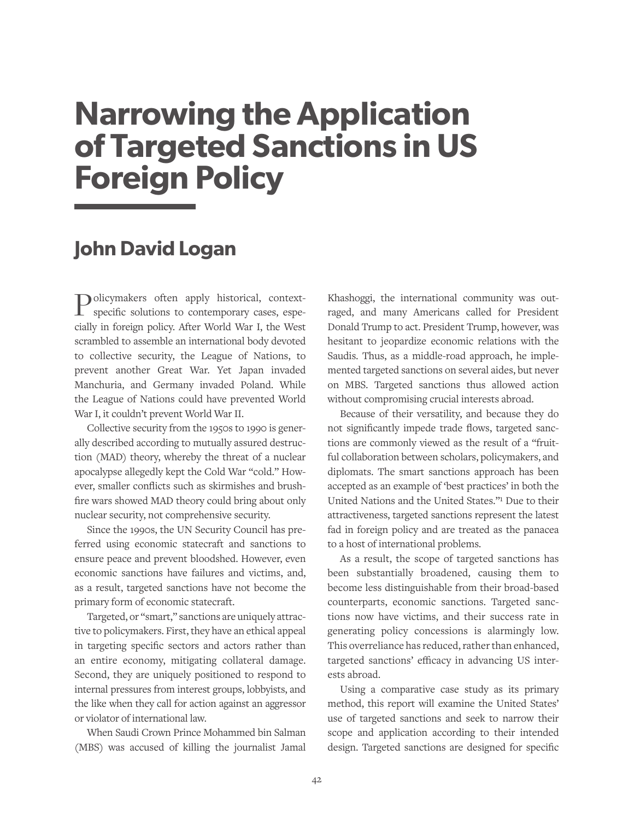# **Narrowing the Application of Targeted Sanctions in US Foreign Policy**

### **John David Logan**

Policymakers often apply historical, contextspecific solutions to contemporary cases, especially in foreign policy. After World War I, the West scrambled to assemble an international body devoted to collective security, the League of Nations, to prevent another Great War. Yet Japan invaded Manchuria, and Germany invaded Poland. While the League of Nations could have prevented World War I, it couldn't prevent World War II.

Collective security from the 1950s to 1990 is generally described according to mutually assured destruction (MAD) theory, whereby the threat of a nuclear apocalypse allegedly kept the Cold War "cold." However, smaller conflicts such as skirmishes and brushfire wars showed MAD theory could bring about only nuclear security, not comprehensive security.

Since the 1990s, the UN Security Council has preferred using economic statecraft and sanctions to ensure peace and prevent bloodshed. However, even economic sanctions have failures and victims, and, as a result, targeted sanctions have not become the primary form of economic statecraft.

Targeted, or "smart," sanctions are uniquely attractive to policymakers. First, they have an ethical appeal in targeting specific sectors and actors rather than an entire economy, mitigating collateral damage. Second, they are uniquely positioned to respond to internal pressures from interest groups, lobbyists, and the like when they call for action against an aggressor or violator of international law.

When Saudi Crown Prince Mohammed bin Salman (MBS) was accused of killing the journalist Jamal Khashoggi, the international community was outraged, and many Americans called for President Donald Trump to act. President Trump, however, was hesitant to jeopardize economic relations with the Saudis. Thus, as a middle-road approach, he implemented targeted sanctions on several aides, but never on MBS. Targeted sanctions thus allowed action without compromising crucial interests abroad.

Because of their versatility, and because they do not significantly impede trade flows, targeted sanctions are commonly viewed as the result of a "fruitful collaboration between scholars, policymakers, and diplomats. The smart sanctions approach has been accepted as an example of 'best practices' in both the United Nations and the United States."1 Due to their attractiveness, targeted sanctions represent the latest fad in foreign policy and are treated as the panacea to a host of international problems.

As a result, the scope of targeted sanctions has been substantially broadened, causing them to become less distinguishable from their broad-based counterparts, economic sanctions. Targeted sanctions now have victims, and their success rate in generating policy concessions is alarmingly low. This overreliance has reduced, rather than enhanced, targeted sanctions' efficacy in advancing US interests abroad.

Using a comparative case study as its primary method, this report will examine the United States' use of targeted sanctions and seek to narrow their scope and application according to their intended design. Targeted sanctions are designed for specific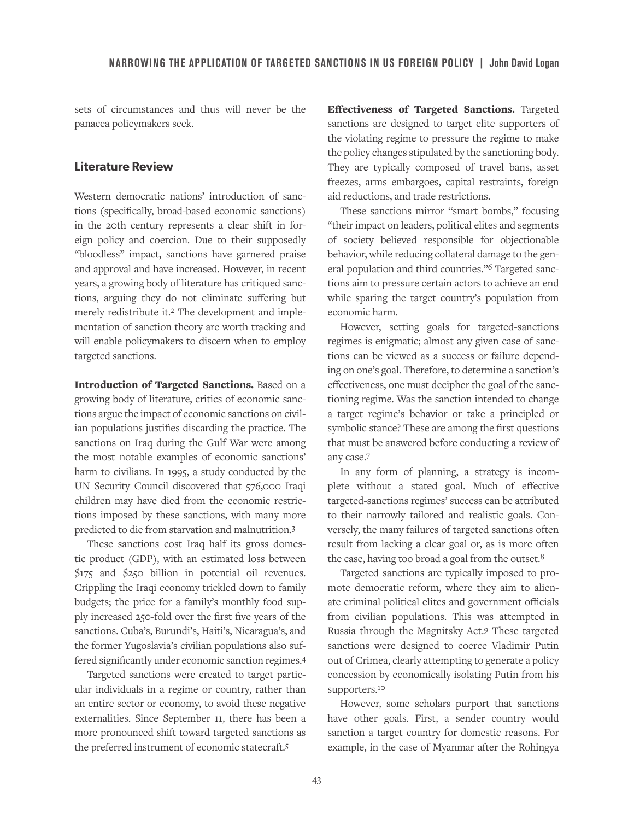sets of circumstances and thus will never be the panacea policymakers seek.

#### **Literature Review**

Western democratic nations' introduction of sanctions (specifically, broad-based economic sanctions) in the 20th century represents a clear shift in foreign policy and coercion. Due to their supposedly "bloodless" impact, sanctions have garnered praise and approval and have increased. However, in recent years, a growing body of literature has critiqued sanctions, arguing they do not eliminate suffering but merely redistribute it.2 The development and implementation of sanction theory are worth tracking and will enable policymakers to discern when to employ targeted sanctions.

Introduction of Targeted Sanctions. Based on a growing body of literature, critics of economic sanctions argue the impact of economic sanctions on civilian populations justifies discarding the practice. The sanctions on Iraq during the Gulf War were among the most notable examples of economic sanctions' harm to civilians. In 1995, a study conducted by the UN Security Council discovered that 576,000 Iraqi children may have died from the economic restrictions imposed by these sanctions, with many more predicted to die from starvation and malnutrition.3

These sanctions cost Iraq half its gross domestic product (GDP), with an estimated loss between \$175 and \$250 billion in potential oil revenues. Crippling the Iraqi economy trickled down to family budgets; the price for a family's monthly food supply increased 250-fold over the first five years of the sanctions. Cuba's, Burundi's, Haiti's, Nicaragua's, and the former Yugoslavia's civilian populations also suffered significantly under economic sanction regimes.4

Targeted sanctions were created to target particular individuals in a regime or country, rather than an entire sector or economy, to avoid these negative externalities. Since September 11, there has been a more pronounced shift toward targeted sanctions as the preferred instrument of economic statecraft.5

Effectiveness of Targeted Sanctions. Targeted sanctions are designed to target elite supporters of the violating regime to pressure the regime to make the policy changes stipulated by the sanctioning body. They are typically composed of travel bans, asset freezes, arms embargoes, capital restraints, foreign aid reductions, and trade restrictions.

These sanctions mirror "smart bombs," focusing "their impact on leaders, political elites and segments of society believed responsible for objectionable behavior, while reducing collateral damage to the general population and third countries."6 Targeted sanctions aim to pressure certain actors to achieve an end while sparing the target country's population from economic harm.

However, setting goals for targeted-sanctions regimes is enigmatic; almost any given case of sanctions can be viewed as a success or failure depending on one's goal. Therefore, to determine a sanction's effectiveness, one must decipher the goal of the sanctioning regime. Was the sanction intended to change a target regime's behavior or take a principled or symbolic stance? These are among the first questions that must be answered before conducting a review of any case.7

In any form of planning, a strategy is incomplete without a stated goal. Much of effective targeted-sanctions regimes' success can be attributed to their narrowly tailored and realistic goals. Conversely, the many failures of targeted sanctions often result from lacking a clear goal or, as is more often the case, having too broad a goal from the outset.<sup>8</sup>

Targeted sanctions are typically imposed to promote democratic reform, where they aim to alienate criminal political elites and government officials from civilian populations. This was attempted in Russia through the Magnitsky Act.9 These targeted sanctions were designed to coerce Vladimir Putin out of Crimea, clearly attempting to generate a policy concession by economically isolating Putin from his supporters.10

However, some scholars purport that sanctions have other goals. First, a sender country would sanction a target country for domestic reasons. For example, in the case of Myanmar after the Rohingya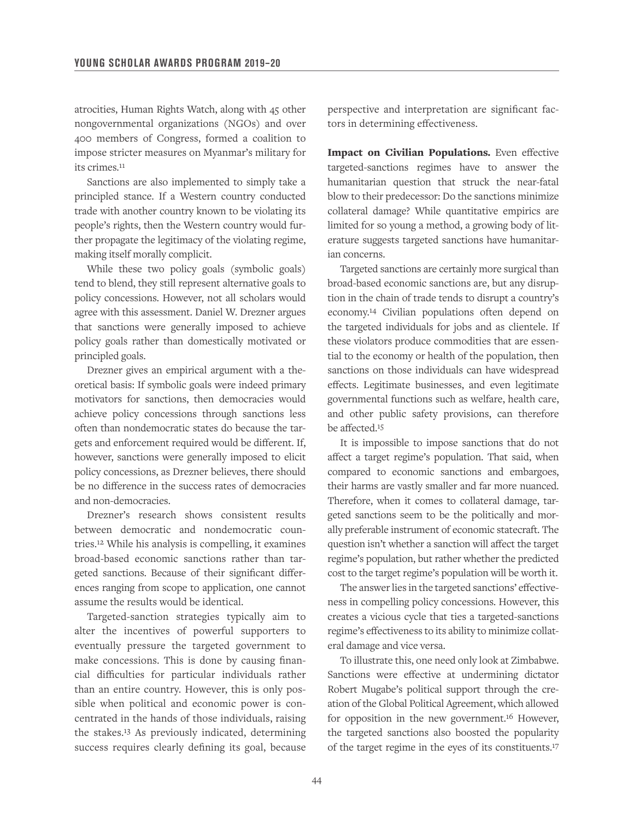atrocities, Human Rights Watch, along with 45 other nongovernmental organizations (NGOs) and over 400 members of Congress, formed a coalition to impose stricter measures on Myanmar's military for its crimes.11

Sanctions are also implemented to simply take a principled stance. If a Western country conducted trade with another country known to be violating its people's rights, then the Western country would further propagate the legitimacy of the violating regime, making itself morally complicit.

While these two policy goals (symbolic goals) tend to blend, they still represent alternative goals to policy concessions. However, not all scholars would agree with this assessment. Daniel W. Drezner argues that sanctions were generally imposed to achieve policy goals rather than domestically motivated or principled goals.

Drezner gives an empirical argument with a theoretical basis: If symbolic goals were indeed primary motivators for sanctions, then democracies would achieve policy concessions through sanctions less often than nondemocratic states do because the targets and enforcement required would be different. If, however, sanctions were generally imposed to elicit policy concessions, as Drezner believes, there should be no difference in the success rates of democracies and non-democracies.

Drezner's research shows consistent results between democratic and nondemocratic countries.12 While his analysis is compelling, it examines broad-based economic sanctions rather than targeted sanctions. Because of their significant differences ranging from scope to application, one cannot assume the results would be identical.

Targeted-sanction strategies typically aim to alter the incentives of powerful supporters to eventually pressure the targeted government to make concessions. This is done by causing financial difficulties for particular individuals rather than an entire country. However, this is only possible when political and economic power is concentrated in the hands of those individuals, raising the stakes.13 As previously indicated, determining success requires clearly defining its goal, because perspective and interpretation are significant factors in determining effectiveness.

Impact on Civilian Populations. Even effective targeted-sanctions regimes have to answer the humanitarian question that struck the near-fatal blow to their predecessor: Do the sanctions minimize collateral damage? While quantitative empirics are limited for so young a method, a growing body of literature suggests targeted sanctions have humanitarian concerns.

Targeted sanctions are certainly more surgical than broad-based economic sanctions are, but any disruption in the chain of trade tends to disrupt a country's economy.14 Civilian populations often depend on the targeted individuals for jobs and as clientele. If these violators produce commodities that are essential to the economy or health of the population, then sanctions on those individuals can have widespread effects. Legitimate businesses, and even legitimate governmental functions such as welfare, health care, and other public safety provisions, can therefore be affected.15

It is impossible to impose sanctions that do not affect a target regime's population. That said, when compared to economic sanctions and embargoes, their harms are vastly smaller and far more nuanced. Therefore, when it comes to collateral damage, targeted sanctions seem to be the politically and morally preferable instrument of economic statecraft. The question isn't whether a sanction will affect the target regime's population, but rather whether the predicted cost to the target regime's population will be worth it.

The answer lies in the targeted sanctions' effectiveness in compelling policy concessions. However, this creates a vicious cycle that ties a targeted-sanctions regime's effectiveness to its ability to minimize collateral damage and vice versa.

To illustrate this, one need only look at Zimbabwe. Sanctions were effective at undermining dictator Robert Mugabe's political support through the creation of the Global Political Agreement, which allowed for opposition in the new government.16 However, the targeted sanctions also boosted the popularity of the target regime in the eyes of its constituents.17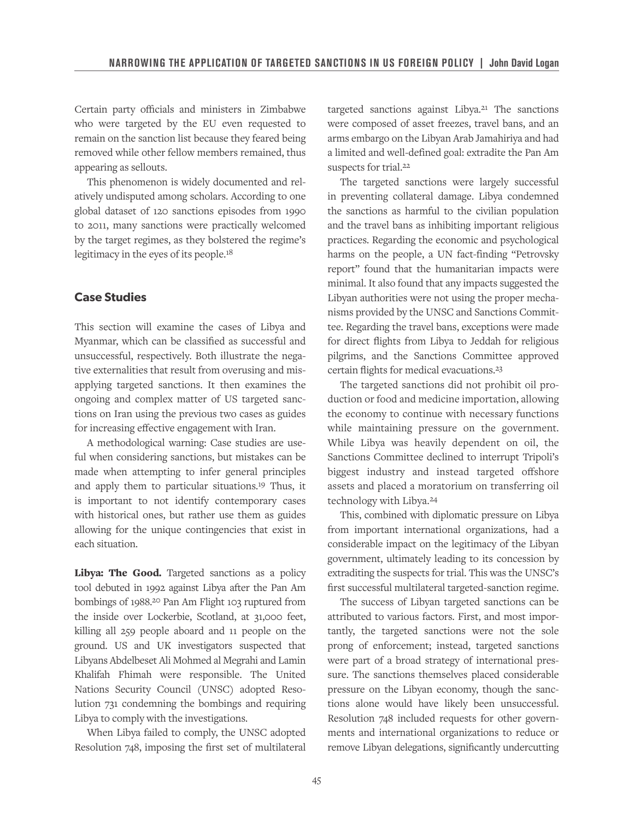Certain party officials and ministers in Zimbabwe who were targeted by the EU even requested to remain on the sanction list because they feared being removed while other fellow members remained, thus appearing as sellouts.

This phenomenon is widely documented and relatively undisputed among scholars. According to one global dataset of 120 sanctions episodes from 1990 to 2011, many sanctions were practically welcomed by the target regimes, as they bolstered the regime's legitimacy in the eyes of its people.18

#### **Case Studies**

This section will examine the cases of Libya and Myanmar, which can be classified as successful and unsuccessful, respectively. Both illustrate the negative externalities that result from overusing and misapplying targeted sanctions. It then examines the ongoing and complex matter of US targeted sanctions on Iran using the previous two cases as guides for increasing effective engagement with Iran.

A methodological warning: Case studies are useful when considering sanctions, but mistakes can be made when attempting to infer general principles and apply them to particular situations.19 Thus, it is important to not identify contemporary cases with historical ones, but rather use them as guides allowing for the unique contingencies that exist in each situation.

Libya: The Good. Targeted sanctions as a policy tool debuted in 1992 against Libya after the Pan Am bombings of 1988.20 Pan Am Flight 103 ruptured from the inside over Lockerbie, Scotland, at 31,000 feet, killing all 259 people aboard and 11 people on the ground. US and UK investigators suspected that Libyans Abdelbeset Ali Mohmed al Megrahi and Lamin Khalifah Fhimah were responsible. The United Nations Security Council (UNSC) adopted Resolution 731 condemning the bombings and requiring Libya to comply with the investigations.

When Libya failed to comply, the UNSC adopted Resolution 748, imposing the first set of multilateral targeted sanctions against Libya.21 The sanctions were composed of asset freezes, travel bans, and an arms embargo on the Libyan Arab Jamahiriya and had a limited and well-defined goal: extradite the Pan Am suspects for trial.22

The targeted sanctions were largely successful in preventing collateral damage. Libya condemned the sanctions as harmful to the civilian population and the travel bans as inhibiting important religious practices. Regarding the economic and psychological harms on the people, a UN fact-finding "Petrovsky report" found that the humanitarian impacts were minimal. It also found that any impacts suggested the Libyan authorities were not using the proper mechanisms provided by the UNSC and Sanctions Committee. Regarding the travel bans, exceptions were made for direct flights from Libya to Jeddah for religious pilgrims, and the Sanctions Committee approved certain flights for medical evacuations.23

The targeted sanctions did not prohibit oil production or food and medicine importation, allowing the economy to continue with necessary functions while maintaining pressure on the government. While Libya was heavily dependent on oil, the Sanctions Committee declined to interrupt Tripoli's biggest industry and instead targeted offshore assets and placed a moratorium on transferring oil technology with Libya.24

This, combined with diplomatic pressure on Libya from important international organizations, had a considerable impact on the legitimacy of the Libyan government, ultimately leading to its concession by extraditing the suspects for trial. This was the UNSC's first successful multilateral targeted-sanction regime.

The success of Libyan targeted sanctions can be attributed to various factors. First, and most importantly, the targeted sanctions were not the sole prong of enforcement; instead, targeted sanctions were part of a broad strategy of international pressure. The sanctions themselves placed considerable pressure on the Libyan economy, though the sanctions alone would have likely been unsuccessful. Resolution 748 included requests for other governments and international organizations to reduce or remove Libyan delegations, significantly undercutting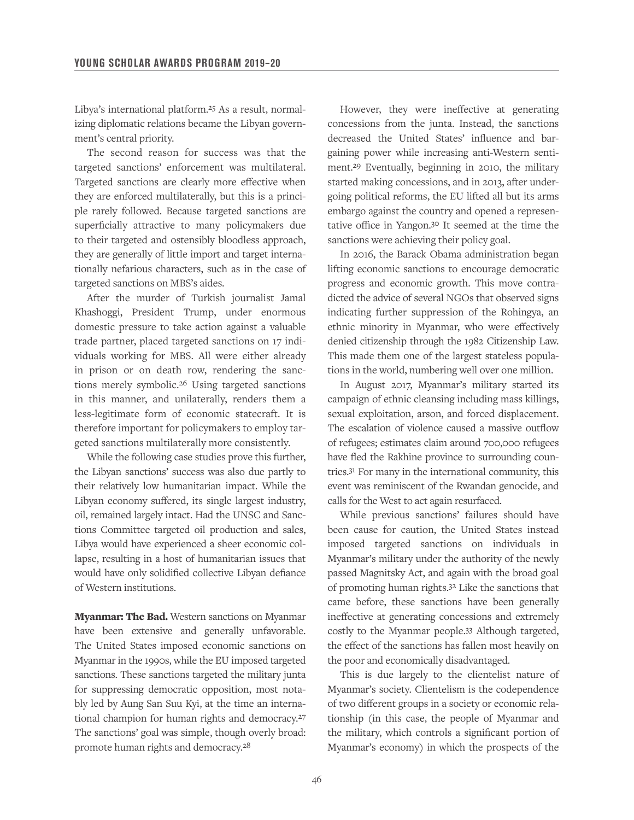Libya's international platform.25 As a result, normalizing diplomatic relations became the Libyan government's central priority.

The second reason for success was that the targeted sanctions' enforcement was multilateral. Targeted sanctions are clearly more effective when they are enforced multilaterally, but this is a principle rarely followed. Because targeted sanctions are superficially attractive to many policymakers due to their targeted and ostensibly bloodless approach, they are generally of little import and target internationally nefarious characters, such as in the case of targeted sanctions on MBS's aides.

After the murder of Turkish journalist Jamal Khashoggi, President Trump, under enormous domestic pressure to take action against a valuable trade partner, placed targeted sanctions on 17 individuals working for MBS. All were either already in prison or on death row, rendering the sanctions merely symbolic.26 Using targeted sanctions in this manner, and unilaterally, renders them a less-legitimate form of economic statecraft. It is therefore important for policymakers to employ targeted sanctions multilaterally more consistently.

While the following case studies prove this further, the Libyan sanctions' success was also due partly to their relatively low humanitarian impact. While the Libyan economy suffered, its single largest industry, oil, remained largely intact. Had the UNSC and Sanctions Committee targeted oil production and sales, Libya would have experienced a sheer economic collapse, resulting in a host of humanitarian issues that would have only solidified collective Libyan defiance of Western institutions.

**Myanmar: The Bad.** Western sanctions on Myanmar have been extensive and generally unfavorable. The United States imposed economic sanctions on Myanmar in the 1990s, while the EU imposed targeted sanctions. These sanctions targeted the military junta for suppressing democratic opposition, most notably led by Aung San Suu Kyi, at the time an international champion for human rights and democracy.27 The sanctions' goal was simple, though overly broad: promote human rights and democracy.28

However, they were ineffective at generating concessions from the junta. Instead, the sanctions decreased the United States' influence and bargaining power while increasing anti-Western sentiment.29 Eventually, beginning in 2010, the military started making concessions, and in 2013, after undergoing political reforms, the EU lifted all but its arms embargo against the country and opened a representative office in Yangon.30 It seemed at the time the sanctions were achieving their policy goal.

In 2016, the Barack Obama administration began lifting economic sanctions to encourage democratic progress and economic growth. This move contradicted the advice of several NGOs that observed signs indicating further suppression of the Rohingya, an ethnic minority in Myanmar, who were effectively denied citizenship through the 1982 Citizenship Law. This made them one of the largest stateless populations in the world, numbering well over one million.

In August 2017, Myanmar's military started its campaign of ethnic cleansing including mass killings, sexual exploitation, arson, and forced displacement. The escalation of violence caused a massive outflow of refugees; estimates claim around 700,000 refugees have fled the Rakhine province to surrounding countries.31 For many in the international community, this event was reminiscent of the Rwandan genocide, and calls for the West to act again resurfaced.

While previous sanctions' failures should have been cause for caution, the United States instead imposed targeted sanctions on individuals in Myanmar's military under the authority of the newly passed Magnitsky Act, and again with the broad goal of promoting human rights.32 Like the sanctions that came before, these sanctions have been generally ineffective at generating concessions and extremely costly to the Myanmar people.33 Although targeted, the effect of the sanctions has fallen most heavily on the poor and economically disadvantaged.

This is due largely to the clientelist nature of Myanmar's society. Clientelism is the codependence of two different groups in a society or economic relationship (in this case, the people of Myanmar and the military, which controls a significant portion of Myanmar's economy) in which the prospects of the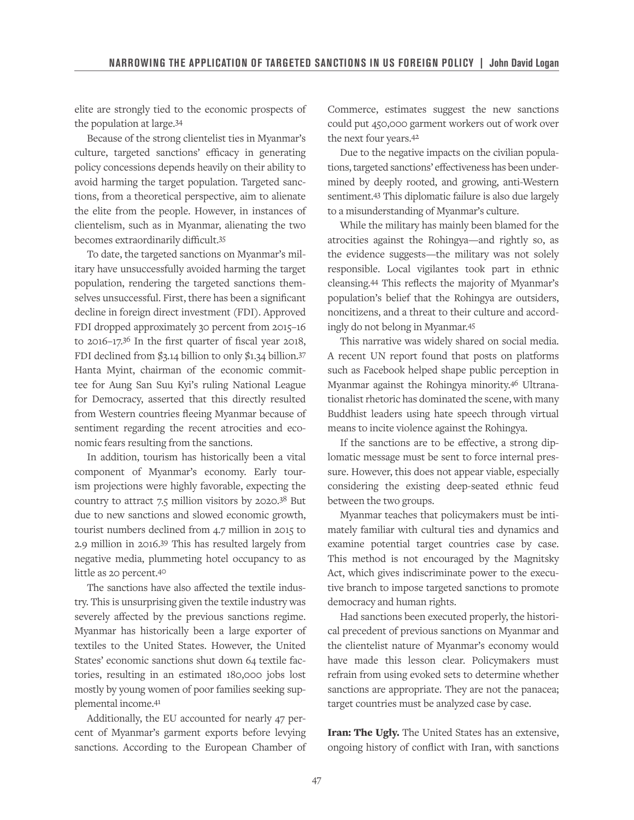elite are strongly tied to the economic prospects of the population at large.34

Because of the strong clientelist ties in Myanmar's culture, targeted sanctions' efficacy in generating policy concessions depends heavily on their ability to avoid harming the target population. Targeted sanctions, from a theoretical perspective, aim to alienate the elite from the people. However, in instances of clientelism, such as in Myanmar, alienating the two becomes extraordinarily difficult.35

To date, the targeted sanctions on Myanmar's military have unsuccessfully avoided harming the target population, rendering the targeted sanctions themselves unsuccessful. First, there has been a significant decline in foreign direct investment (FDI). Approved FDI dropped approximately 30 percent from 2015–16 to 2016–17.36 In the first quarter of fiscal year 2018, FDI declined from \$3.14 billion to only \$1.34 billion.37 Hanta Myint, chairman of the economic committee for Aung San Suu Kyi's ruling National League for Democracy, asserted that this directly resulted from Western countries fleeing Myanmar because of sentiment regarding the recent atrocities and economic fears resulting from the sanctions.

In addition, tourism has historically been a vital component of Myanmar's economy. Early tourism projections were highly favorable, expecting the country to attract 7.5 million visitors by 2020.38 But due to new sanctions and slowed economic growth, tourist numbers declined from 4.7 million in 2015 to 2.9 million in 2016.39 This has resulted largely from negative media, plummeting hotel occupancy to as little as 20 percent.40

The sanctions have also affected the textile industry. This is unsurprising given the textile industry was severely affected by the previous sanctions regime. Myanmar has historically been a large exporter of textiles to the United States. However, the United States' economic sanctions shut down 64 textile factories, resulting in an estimated 180,000 jobs lost mostly by young women of poor families seeking supplemental income.41

Additionally, the EU accounted for nearly 47 percent of Myanmar's garment exports before levying sanctions. According to the European Chamber of Commerce, estimates suggest the new sanctions could put 450,000 garment workers out of work over the next four years.42

Due to the negative impacts on the civilian populations, targeted sanctions' effectiveness has been undermined by deeply rooted, and growing, anti-Western sentiment.43 This diplomatic failure is also due largely to a misunderstanding of Myanmar's culture.

While the military has mainly been blamed for the atrocities against the Rohingya—and rightly so, as the evidence suggests—the military was not solely responsible. Local vigilantes took part in ethnic cleansing.44 This reflects the majority of Myanmar's population's belief that the Rohingya are outsiders, noncitizens, and a threat to their culture and accordingly do not belong in Myanmar.45

This narrative was widely shared on social media. A recent UN report found that posts on platforms such as Facebook helped shape public perception in Myanmar against the Rohingya minority.46 Ultranationalist rhetoric has dominated the scene, with many Buddhist leaders using hate speech through virtual means to incite violence against the Rohingya.

If the sanctions are to be effective, a strong diplomatic message must be sent to force internal pressure. However, this does not appear viable, especially considering the existing deep-seated ethnic feud between the two groups.

Myanmar teaches that policymakers must be intimately familiar with cultural ties and dynamics and examine potential target countries case by case. This method is not encouraged by the Magnitsky Act, which gives indiscriminate power to the executive branch to impose targeted sanctions to promote democracy and human rights.

Had sanctions been executed properly, the historical precedent of previous sanctions on Myanmar and the clientelist nature of Myanmar's economy would have made this lesson clear. Policymakers must refrain from using evoked sets to determine whether sanctions are appropriate. They are not the panacea; target countries must be analyzed case by case.

Iran: The Ugly. The United States has an extensive, ongoing history of conflict with Iran, with sanctions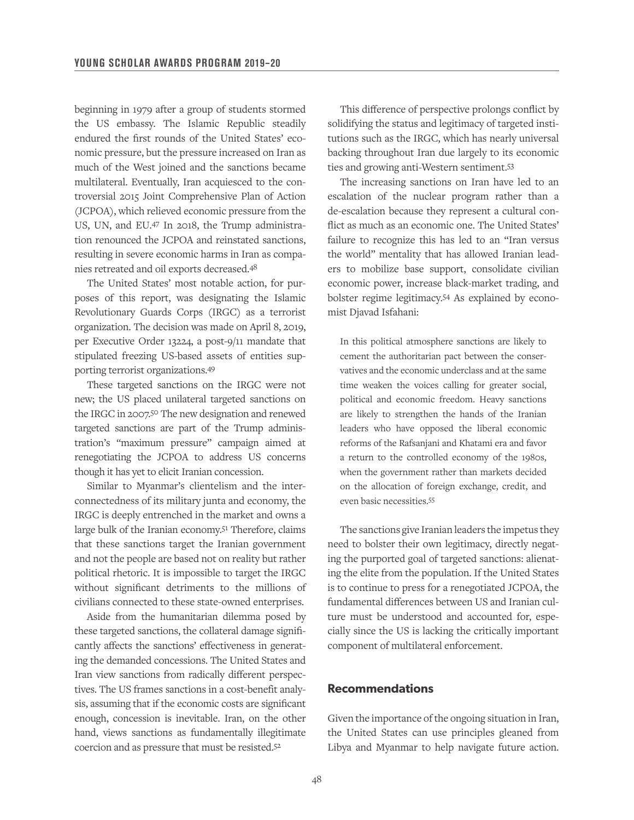beginning in 1979 after a group of students stormed the US embassy. The Islamic Republic steadily endured the first rounds of the United States' economic pressure, but the pressure increased on Iran as much of the West joined and the sanctions became multilateral. Eventually, Iran acquiesced to the controversial 2015 Joint Comprehensive Plan of Action (JCPOA), which relieved economic pressure from the US, UN, and EU.47 In 2018, the Trump administration renounced the JCPOA and reinstated sanctions, resulting in severe economic harms in Iran as companies retreated and oil exports decreased.48

The United States' most notable action, for purposes of this report, was designating the Islamic Revolutionary Guards Corps (IRGC) as a terrorist organization. The decision was made on April 8, 2019, per Executive Order 13224, a post-9/11 mandate that stipulated freezing US-based assets of entities supporting terrorist organizations.49

These targeted sanctions on the IRGC were not new; the US placed unilateral targeted sanctions on the IRGC in 2007.50 The new designation and renewed targeted sanctions are part of the Trump administration's "maximum pressure" campaign aimed at renegotiating the JCPOA to address US concerns though it has yet to elicit Iranian concession.

Similar to Myanmar's clientelism and the interconnectedness of its military junta and economy, the IRGC is deeply entrenched in the market and owns a large bulk of the Iranian economy.51 Therefore, claims that these sanctions target the Iranian government and not the people are based not on reality but rather political rhetoric. It is impossible to target the IRGC without significant detriments to the millions of civilians connected to these state-owned enterprises.

Aside from the humanitarian dilemma posed by these targeted sanctions, the collateral damage significantly affects the sanctions' effectiveness in generating the demanded concessions. The United States and Iran view sanctions from radically different perspectives. The US frames sanctions in a cost-benefit analysis, assuming that if the economic costs are significant enough, concession is inevitable. Iran, on the other hand, views sanctions as fundamentally illegitimate coercion and as pressure that must be resisted.52

This difference of perspective prolongs conflict by solidifying the status and legitimacy of targeted institutions such as the IRGC, which has nearly universal backing throughout Iran due largely to its economic ties and growing anti-Western sentiment.53

The increasing sanctions on Iran have led to an escalation of the nuclear program rather than a de-escalation because they represent a cultural conflict as much as an economic one. The United States' failure to recognize this has led to an "Iran versus the world" mentality that has allowed Iranian leaders to mobilize base support, consolidate civilian economic power, increase black-market trading, and bolster regime legitimacy.54 As explained by economist Djavad Isfahani:

In this political atmosphere sanctions are likely to cement the authoritarian pact between the conservatives and the economic underclass and at the same time weaken the voices calling for greater social, political and economic freedom. Heavy sanctions are likely to strengthen the hands of the Iranian leaders who have opposed the liberal economic reforms of the Rafsanjani and Khatami era and favor a return to the controlled economy of the 1980s, when the government rather than markets decided on the allocation of foreign exchange, credit, and even basic necessities.55

The sanctions give Iranian leaders the impetus they need to bolster their own legitimacy, directly negating the purported goal of targeted sanctions: alienating the elite from the population. If the United States is to continue to press for a renegotiated JCPOA, the fundamental differences between US and Iranian culture must be understood and accounted for, especially since the US is lacking the critically important component of multilateral enforcement.

#### **Recommendations**

Given the importance of the ongoing situation in Iran, the United States can use principles gleaned from Libya and Myanmar to help navigate future action.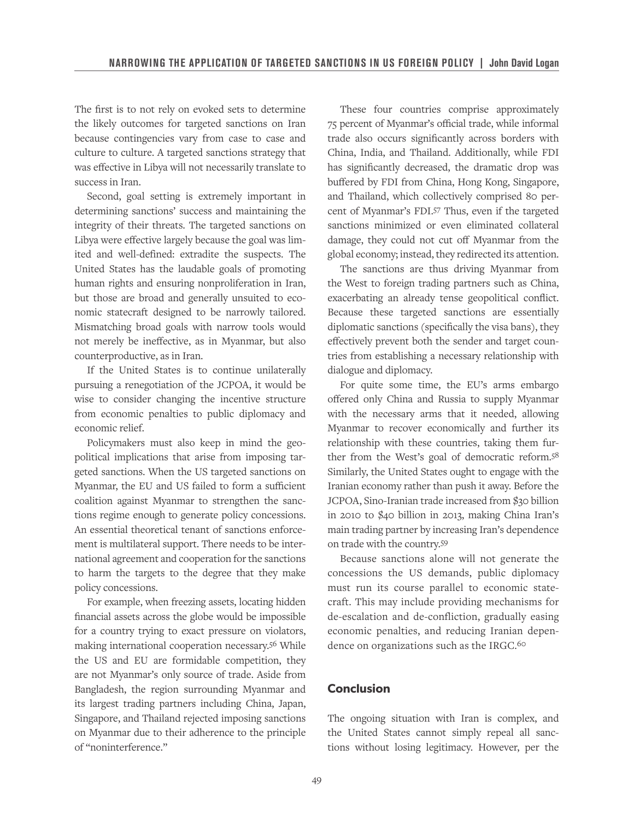The first is to not rely on evoked sets to determine the likely outcomes for targeted sanctions on Iran because contingencies vary from case to case and culture to culture. A targeted sanctions strategy that was effective in Libya will not necessarily translate to success in Iran.

Second, goal setting is extremely important in determining sanctions' success and maintaining the integrity of their threats. The targeted sanctions on Libya were effective largely because the goal was limited and well-defined: extradite the suspects. The United States has the laudable goals of promoting human rights and ensuring nonproliferation in Iran, but those are broad and generally unsuited to economic statecraft designed to be narrowly tailored. Mismatching broad goals with narrow tools would not merely be ineffective, as in Myanmar, but also counterproductive, as in Iran.

If the United States is to continue unilaterally pursuing a renegotiation of the JCPOA, it would be wise to consider changing the incentive structure from economic penalties to public diplomacy and economic relief.

Policymakers must also keep in mind the geopolitical implications that arise from imposing targeted sanctions. When the US targeted sanctions on Myanmar, the EU and US failed to form a sufficient coalition against Myanmar to strengthen the sanctions regime enough to generate policy concessions. An essential theoretical tenant of sanctions enforcement is multilateral support. There needs to be international agreement and cooperation for the sanctions to harm the targets to the degree that they make policy concessions.

For example, when freezing assets, locating hidden financial assets across the globe would be impossible for a country trying to exact pressure on violators, making international cooperation necessary.56 While the US and EU are formidable competition, they are not Myanmar's only source of trade. Aside from Bangladesh, the region surrounding Myanmar and its largest trading partners including China, Japan, Singapore, and Thailand rejected imposing sanctions on Myanmar due to their adherence to the principle of "noninterference."

These four countries comprise approximately 75 percent of Myanmar's official trade, while informal trade also occurs significantly across borders with China, India, and Thailand. Additionally, while FDI has significantly decreased, the dramatic drop was buffered by FDI from China, Hong Kong, Singapore, and Thailand, which collectively comprised 80 percent of Myanmar's FDI.57 Thus, even if the targeted sanctions minimized or even eliminated collateral damage, they could not cut off Myanmar from the global economy; instead, they redirected its attention.

The sanctions are thus driving Myanmar from the West to foreign trading partners such as China, exacerbating an already tense geopolitical conflict. Because these targeted sanctions are essentially diplomatic sanctions (specifically the visa bans), they effectively prevent both the sender and target countries from establishing a necessary relationship with dialogue and diplomacy.

For quite some time, the EU's arms embargo offered only China and Russia to supply Myanmar with the necessary arms that it needed, allowing Myanmar to recover economically and further its relationship with these countries, taking them further from the West's goal of democratic reform.58 Similarly, the United States ought to engage with the Iranian economy rather than push it away. Before the JCPOA, Sino-Iranian trade increased from \$30 billion in 2010 to \$40 billion in 2013, making China Iran's main trading partner by increasing Iran's dependence on trade with the country.59

Because sanctions alone will not generate the concessions the US demands, public diplomacy must run its course parallel to economic statecraft. This may include providing mechanisms for de-escalation and de-confliction, gradually easing economic penalties, and reducing Iranian dependence on organizations such as the IRGC.<sup>60</sup>

#### **Conclusion**

The ongoing situation with Iran is complex, and the United States cannot simply repeal all sanctions without losing legitimacy. However, per the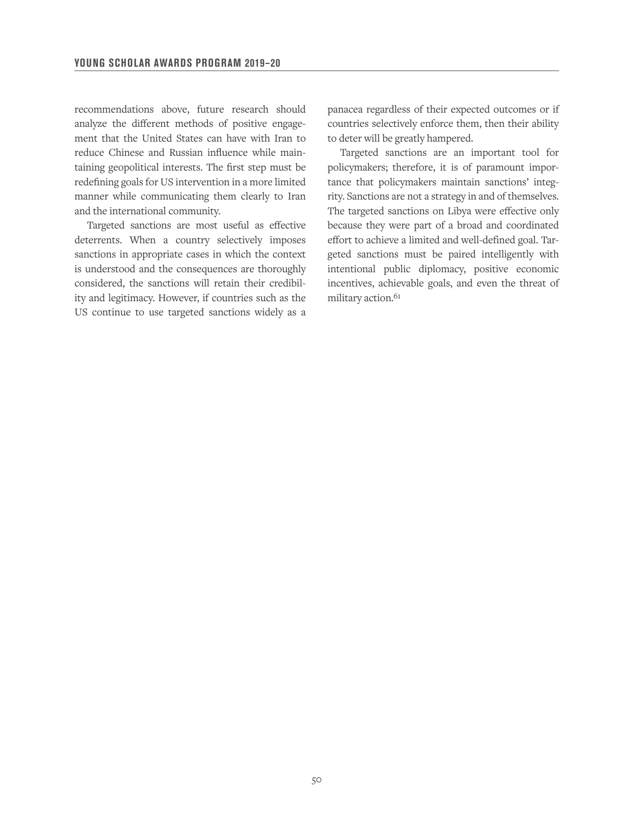recommendations above, future research should analyze the different methods of positive engagement that the United States can have with Iran to reduce Chinese and Russian influence while maintaining geopolitical interests. The first step must be redefining goals for US intervention in a more limited manner while communicating them clearly to Iran and the international community.

Targeted sanctions are most useful as effective deterrents. When a country selectively imposes sanctions in appropriate cases in which the context is understood and the consequences are thoroughly considered, the sanctions will retain their credibility and legitimacy. However, if countries such as the US continue to use targeted sanctions widely as a

panacea regardless of their expected outcomes or if countries selectively enforce them, then their ability to deter will be greatly hampered.

Targeted sanctions are an important tool for policymakers; therefore, it is of paramount importance that policymakers maintain sanctions' integrity. Sanctions are not a strategy in and of themselves. The targeted sanctions on Libya were effective only because they were part of a broad and coordinated effort to achieve a limited and well-defined goal. Targeted sanctions must be paired intelligently with intentional public diplomacy, positive economic incentives, achievable goals, and even the threat of military action.<sup>61</sup>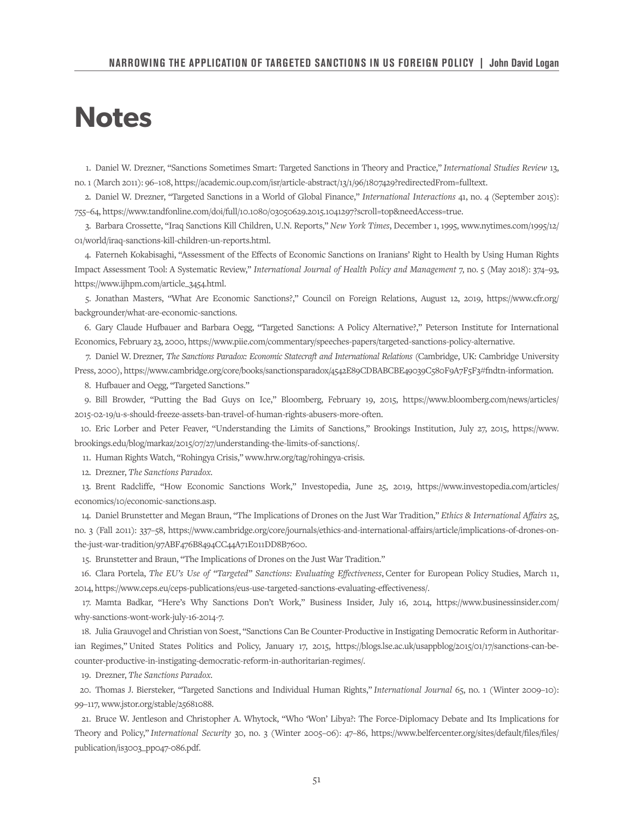## **Notes**

1. Daniel W. Drezner, "Sanctions Sometimes Smart: Targeted Sanctions in Theory and Practice," *International Studies Review* 13, no. 1 (March 2011): 96–108, https://academic.oup.com/isr/article-abstract/13/1/96/1807429?redirectedFrom=fulltext.

2. Daniel W. Drezner, "Targeted Sanctions in a World of Global Finance," *International Interactions* 41, no. 4 (September 2015): 755–64, https://www.tandfonline.com/doi/full/10.1080/03050629.2015.1041297?scroll=top&needAccess=true.

3. Barbara Crossette, "Iraq Sanctions Kill Children, U.N. Reports," *New York Times*, December 1, 1995, www.nytimes.com/1995/12/ 01/world/iraq-sanctions-kill-children-un-reports.html.

4. Faterneh Kokabisaghi, "Assessment of the Effects of Economic Sanctions on Iranians' Right to Health by Using Human Rights Impact Assessment Tool: A Systematic Review," *International Journal of Health Policy and Management* 7, no. 5 (May 2018): 374–93, https://www.ijhpm.com/article\_3454.html.

5. Jonathan Masters, "What Are Economic Sanctions?," Council on Foreign Relations, August 12, 2019, https://www.cfr.org/ backgrounder/what-are-economic-sanctions.

6. Gary Claude Hufbauer and Barbara Oegg, "Targeted Sanctions: A Policy Alternative?," Peterson Institute for International Economics, February 23, 2000, https://www.piie.com/commentary/speeches-papers/targeted-sanctions-policy-alternative.

7. Daniel W. Drezner, *The Sanctions Paradox: Economic Statecraft and International Relations* (Cambridge, UK: Cambridge University Press, 2000), https://www.cambridge.org/core/books/sanctionsparadox/4542E89CDBABCBE49039C580F9A7F5F3#fndtn-information.

8. Hufbauer and Oegg, "Targeted Sanctions."

9. Bill Browder, "Putting the Bad Guys on Ice," Bloomberg, February 19, 2015, https://www.bloomberg.com/news/articles/ 2015-02-19/u-s-should-freeze-assets-ban-travel-of-human-rights-abusers-more-often.

10. Eric Lorber and Peter Feaver, "Understanding the Limits of Sanctions," Brookings Institution, July 27, 2015, https://www. brookings.edu/blog/markaz/2015/07/27/understanding-the-limits-of-sanctions/.

11. Human Rights Watch, "Rohingya Crisis," www.hrw.org/tag/rohingya-crisis.

12. Drezner, *The Sanctions Paradox.*

13. Brent Radcliffe, "How Economic Sanctions Work," Investopedia, June 25, 2019, https://www.investopedia.com/articles/ economics/10/economic-sanctions.asp.

14. Daniel Brunstetter and Megan Braun, "The Implications of Drones on the Just War Tradition," *Ethics & International Affairs* 25, no. 3 (Fall 2011): 337–58, https://www.cambridge.org/core/journals/ethics-and-international-affairs/article/implications-of-drones-onthe-just-war-tradition/97ABF476B8494CC44A71E011DD8B7600.

15. Brunstetter and Braun, "The Implications of Drones on the Just War Tradition."

16. Clara Portela, *The EU's Use of "Targeted" Sanctions: Evaluating Effectiveness*, Center for European Policy Studies, March 11, 2014, https://www.ceps.eu/ceps-publications/eus-use-targeted-sanctions-evaluating-effectiveness/.

17. Mamta Badkar, "Here's Why Sanctions Don't Work," Business Insider, July 16, 2014, https://www.businessinsider.com/ why-sanctions-wont-work-july-16-2014-7.

18. Julia Grauvogel and Christian von Soest, "Sanctions Can Be Counter-Productive in Instigating Democratic Reform in Authoritarian Regimes," United States Politics and Policy, January 17, 2015, https://blogs.lse.ac.uk/usappblog/2015/01/17/sanctions-can-becounter-productive-in-instigating-democratic-reform-in-authoritarian-regimes/.

19. Drezner, *The Sanctions Paradox.*

20. Thomas J. Biersteker, "Targeted Sanctions and Individual Human Rights," *International Journal* 65, no. 1 (Winter 2009–10): 99–117, www.jstor.org/stable/25681088.

21. Bruce W. Jentleson and Christopher A. Whytock, "Who 'Won' Libya?: The Force-Diplomacy Debate and Its Implications for Theory and Policy," *International Security* 30, no. 3 (Winter 2005–06): 47–86, https://www.belfercenter.org/sites/default/files/files/ publication/is3003\_pp047-086.pdf.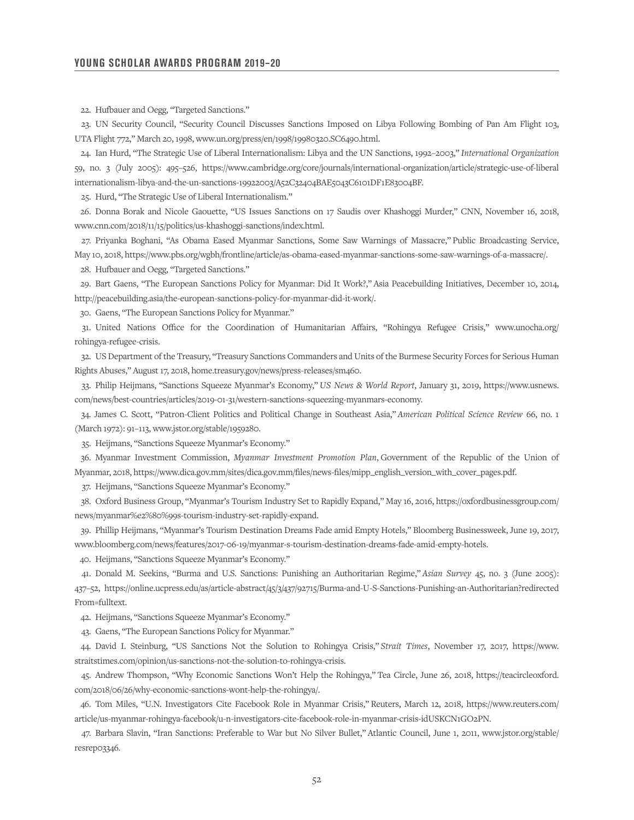22. Hufbauer and Oegg, "Targeted Sanctions."

23. UN Security Council, "Security Council Discusses Sanctions Imposed on Libya Following Bombing of Pan Am Flight 103, UTA Flight 772," March 20, 1998, www.un.org/press/en/1998/19980320.SC6490.html.

24. Ian Hurd, "The Strategic Use of Liberal Internationalism: Libya and the UN Sanctions, 1992–2003," *International Organization*  59, no. 3 (July 2005): 495–526, https://www.cambridge.org/core/journals/international-organization/article/strategic-use-of-liberal internationalism-libya-and-the-un-sanctions-19922003/A52C32404BAE5043C6101DF1E83004BF.

25. Hurd, "The Strategic Use of Liberal Internationalism."

26. Donna Borak and Nicole Gaouette, "US Issues Sanctions on 17 Saudis over Khashoggi Murder," CNN, November 16, 2018, www.cnn.com/2018/11/15/politics/us-khashoggi-sanctions/index.html.

27. Priyanka Boghani, "As Obama Eased Myanmar Sanctions, Some Saw Warnings of Massacre," Public Broadcasting Service, May 10, 2018, https://www.pbs.org/wgbh/frontline/article/as-obama-eased-myanmar-sanctions-some-saw-warnings-of-a-massacre/.

28. Hufbauer and Oegg, "Targeted Sanctions."

29. Bart Gaens, "The European Sanctions Policy for Myanmar: Did It Work?," Asia Peacebuilding Initiatives, December 10, 2014, http://peacebuilding.asia/the-european-sanctions-policy-for-myanmar-did-it-work/.

30. Gaens, "The European Sanctions Policy for Myanmar."

31. United Nations Office for the Coordination of Humanitarian Affairs, "Rohingya Refugee Crisis," www.unocha.org/ rohingya-refugee-crisis.

32. US Department of the Treasury, "Treasury Sanctions Commanders and Units of the Burmese Security Forces for Serious Human Rights Abuses," August 17, 2018, home.treasury.gov/news/press-releases/sm460.

33. Philip Heijmans, "Sanctions Squeeze Myanmar's Economy," *US News & World Report*, January 31, 2019, https://www.usnews. com/news/best-countries/articles/2019-01-31/western-sanctions-squeezing-myanmars-economy.

34. James C. Scott, "Patron-Client Politics and Political Change in Southeast Asia," *American Political Science Review* 66, no. 1 (March 1972): 91–113, www.jstor.org/stable/1959280.

35. Heijmans, "Sanctions Squeeze Myanmar's Economy."

36. Myanmar Investment Commission, *Myanmar Investment Promotion Plan*, Government of the Republic of the Union of Myanmar, 2018, https://www.dica.gov.mm/sites/dica.gov.mm/files/news-files/mipp\_english\_version\_with\_cover\_pages.pdf.

37. Heijmans, "Sanctions Squeeze Myanmar's Economy."

38. Oxford Business Group, "Myanmar's Tourism Industry Set to Rapidly Expand," May 16, 2016, https://oxfordbusinessgroup.com/ news/myanmar%e2%80%99s-tourism-industry-set-rapidly-expand.

39. Phillip Heijmans, "Myanmar's Tourism Destination Dreams Fade amid Empty Hotels," Bloomberg Businessweek, June 19, 2017, www.bloomberg.com/news/features/2017-06-19/myanmar-s-tourism-destination-dreams-fade-amid-empty-hotels.

40. Heijmans, "Sanctions Squeeze Myanmar's Economy."

41. Donald M. Seekins, "Burma and U.S. Sanctions: Punishing an Authoritarian Regime," *Asian Survey* 45, no. 3 (June 2005): 437–52, https://online.ucpress.edu/as/article-abstract/45/3/437/92715/Burma-and-U-S-Sanctions-Punishing-an-Authoritarian?redirected From=fulltext.

42. Heijmans, "Sanctions Squeeze Myanmar's Economy."

43. Gaens, "The European Sanctions Policy for Myanmar."

44. David I. Steinburg, "US Sanctions Not the Solution to Rohingya Crisis," *Strait Times*, November 17, 2017, https://www. straitstimes.com/opinion/us-sanctions-not-the-solution-to-rohingya-crisis.

45. Andrew Thompson, "Why Economic Sanctions Won't Help the Rohingya," Tea Circle, June 26, 2018, https://teacircleoxford. com/2018/06/26/why-economic-sanctions-wont-help-the-rohingya/.

46. Tom Miles, "U.N. Investigators Cite Facebook Role in Myanmar Crisis," Reuters, March 12, 2018, https://www.reuters.com/ article/us-myanmar-rohingya-facebook/u-n-investigators-cite-facebook-role-in-myanmar-crisis-idUSKCN1GO2PN.

47. Barbara Slavin, "Iran Sanctions: Preferable to War but No Silver Bullet," Atlantic Council, June 1, 2011, www.jstor.org/stable/ resrep03346.